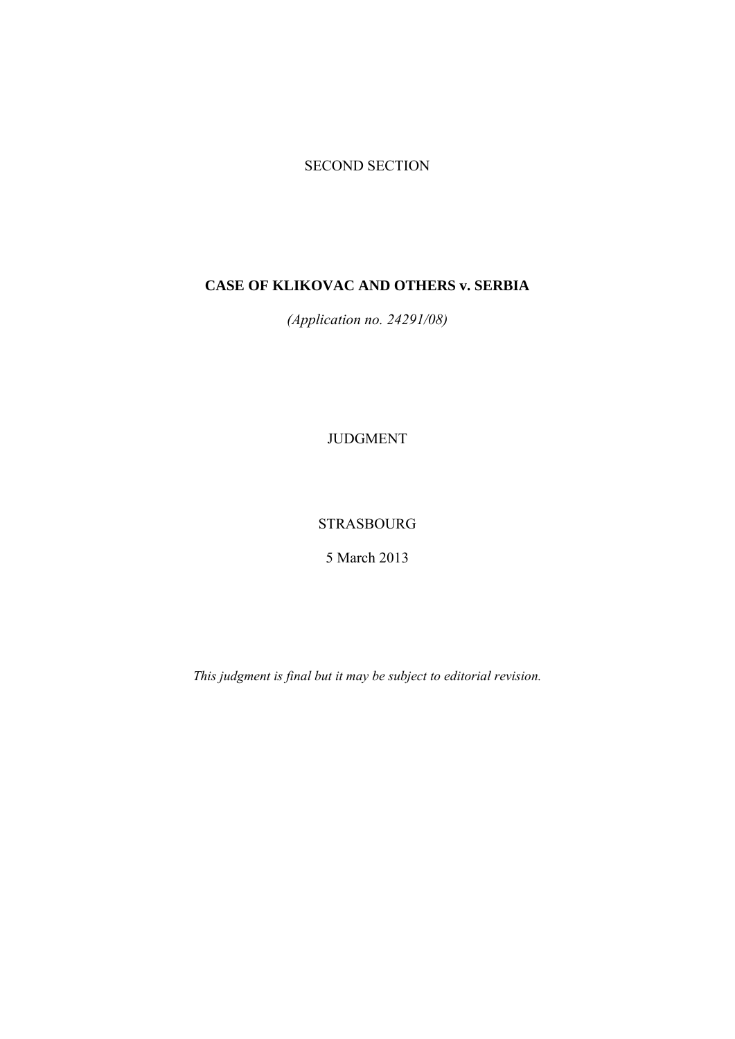# SECOND SECTION

# **CASE OF KLIKOVAC AND OTHERS v. SERBIA**

*(Application no. 24291/08)* 

JUDGMENT

STRASBOURG

5 March 2013

*This judgment is final but it may be subject to editorial revision.*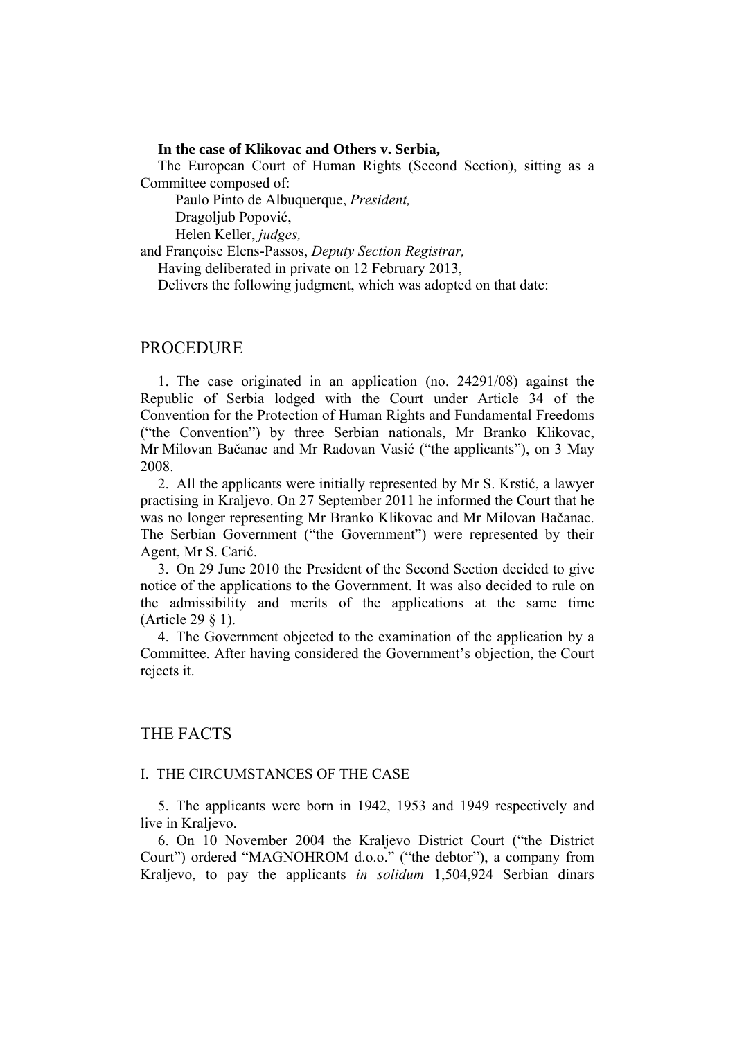#### **In the case of Klikovac and Others v. Serbia,**

The European Court of Human Rights (Second Section), sitting as a Committee composed of:

Paulo Pinto de Albuquerque, *President,* 

Dragoljub Popović,

Helen Keller, *judges,*

and Françoise Elens-Passos, *Deputy Section Registrar,*

Having deliberated in private on 12 February 2013,

Delivers the following judgment, which was adopted on that date:

### PROCEDURE

1. The case originated in an application (no. 24291/08) against the Republic of Serbia lodged with the Court under Article 34 of the Convention for the Protection of Human Rights and Fundamental Freedoms ("the Convention") by three Serbian nationals, Mr Branko Klikovac, Mr Milovan Bačanac and Mr Radovan Vasić ("the applicants"), on 3 May 2008.

2. All the applicants were initially represented by Mr S. Krstić, a lawyer practising in Kraljevo. On 27 September 2011 he informed the Court that he was no longer representing Mr Branko Klikovac and Mr Milovan Bačanac. The Serbian Government ("the Government") were represented by their Agent, Mr S. Carić.

3. On 29 June 2010 the President of the Second Section decided to give notice of the applications to the Government. It was also decided to rule on the admissibility and merits of the applications at the same time (Article 29 § 1).

4. The Government objected to the examination of the application by a Committee. After having considered the Government's objection, the Court rejects it.

## THE FACTS

### I. THE CIRCUMSTANCES OF THE CASE

5. The applicants were born in 1942, 1953 and 1949 respectively and live in Kraljevo.

6. On 10 November 2004 the Kraljevo District Court ("the District Court") ordered "MAGNOHROM d.o.o." ("the debtor"), a company from Kraljevo, to pay the applicants *in solidum* 1,504,924 Serbian dinars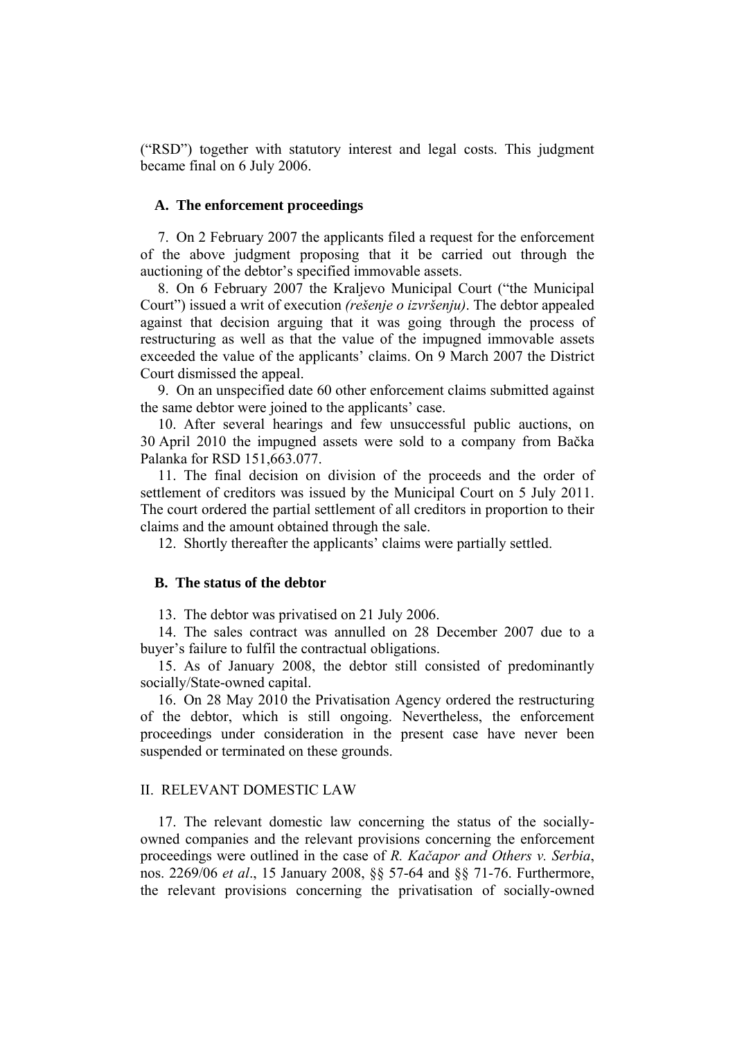("RSD") together with statutory interest and legal costs. This judgment became final on 6 July 2006.

### **A. The enforcement proceedings**

7. On 2 February 2007 the applicants filed a request for the enforcement of the above judgment proposing that it be carried out through the auctioning of the debtor's specified immovable assets.

8. On 6 February 2007 the Kraljevo Municipal Court ("the Municipal Court") issued a writ of execution *(rešenje o izvršenju)*. The debtor appealed against that decision arguing that it was going through the process of restructuring as well as that the value of the impugned immovable assets exceeded the value of the applicants' claims. On 9 March 2007 the District Court dismissed the appeal.

9. On an unspecified date 60 other enforcement claims submitted against the same debtor were joined to the applicants' case.

10. After several hearings and few unsuccessful public auctions, on 30 April 2010 the impugned assets were sold to a company from Bačka Palanka for RSD 151,663.077.

11. The final decision on division of the proceeds and the order of settlement of creditors was issued by the Municipal Court on 5 July 2011. The court ordered the partial settlement of all creditors in proportion to their claims and the amount obtained through the sale.

12. Shortly thereafter the applicants' claims were partially settled.

### **B. The status of the debtor**

13. The debtor was privatised on 21 July 2006.

14. The sales contract was annulled on 28 December 2007 due to a buyer's failure to fulfil the contractual obligations.

15. As of January 2008, the debtor still consisted of predominantly socially/State-owned capital.

16. On 28 May 2010 the Privatisation Agency ordered the restructuring of the debtor, which is still ongoing. Nevertheless, the enforcement proceedings under consideration in the present case have never been suspended or terminated on these grounds.

### II. RELEVANT DOMESTIC LAW

17. The relevant domestic law concerning the status of the sociallyowned companies and the relevant provisions concerning the enforcement proceedings were outlined in the case of *R. Kačapor and Others v. Serbia*, nos. 2269/06 *et al*., 15 January 2008, §§ 57-64 and §§ 71-76. Furthermore, the relevant provisions concerning the privatisation of socially-owned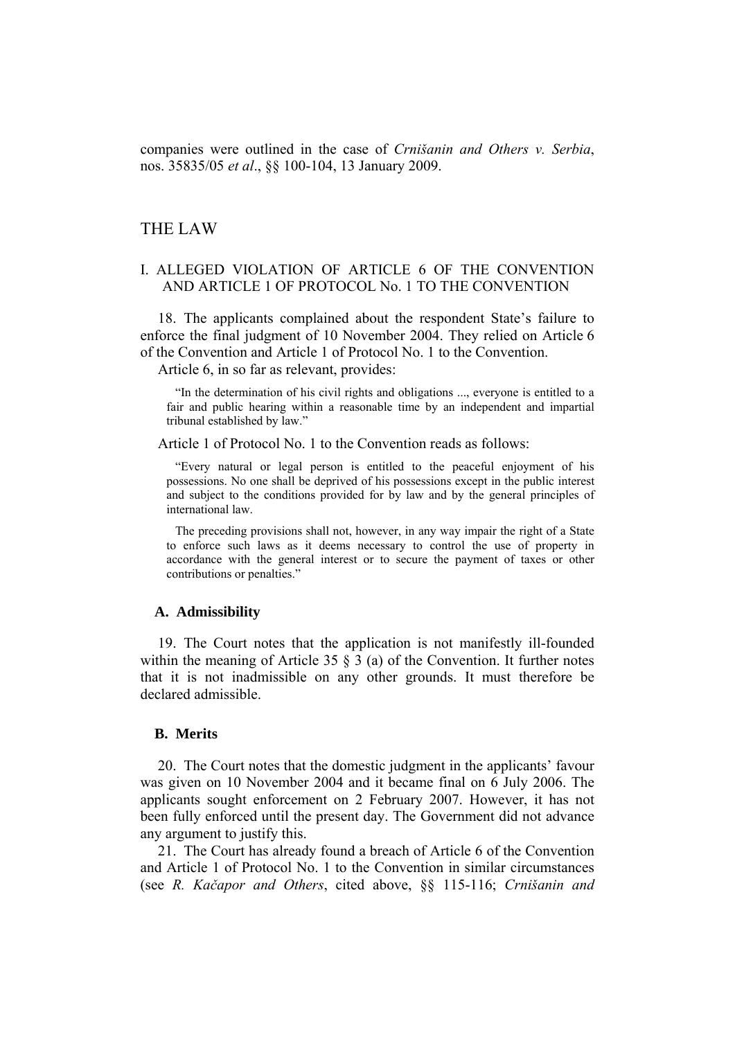companies were outlined in the case of *Crnišanin and Others v. Serbia*, nos. 35835/05 *et al*., §§ 100-104, 13 January 2009.

## THE LAW

## I. ALLEGED VIOLATION OF ARTICLE 6 OF THE CONVENTION AND ARTICLE 1 OF PROTOCOL No. 1 TO THE CONVENTION

18. The applicants complained about the respondent State's failure to enforce the final judgment of 10 November 2004. They relied on Article 6 of the Convention and Article 1 of Protocol No. 1 to the Convention.

Article 6, in so far as relevant, provides:

"In the determination of his civil rights and obligations ..., everyone is entitled to a fair and public hearing within a reasonable time by an independent and impartial tribunal established by law."

Article 1 of Protocol No. 1 to the Convention reads as follows:

"Every natural or legal person is entitled to the peaceful enjoyment of his possessions. No one shall be deprived of his possessions except in the public interest and subject to the conditions provided for by law and by the general principles of international law.

The preceding provisions shall not, however, in any way impair the right of a State to enforce such laws as it deems necessary to control the use of property in accordance with the general interest or to secure the payment of taxes or other contributions or penalties."

#### **A. Admissibility**

19. The Court notes that the application is not manifestly ill-founded within the meaning of Article 35 § 3 (a) of the Convention. It further notes that it is not inadmissible on any other grounds. It must therefore be declared admissible.

### **B. Merits**

20. The Court notes that the domestic judgment in the applicants' favour was given on 10 November 2004 and it became final on 6 July 2006. The applicants sought enforcement on 2 February 2007. However, it has not been fully enforced until the present day. The Government did not advance any argument to justify this.

21. The Court has already found a breach of Article 6 of the Convention and Article 1 of Protocol No. 1 to the Convention in similar circumstances (see *R. Kačapor and Others*, cited above, §§ 115-116; *Crnišanin and*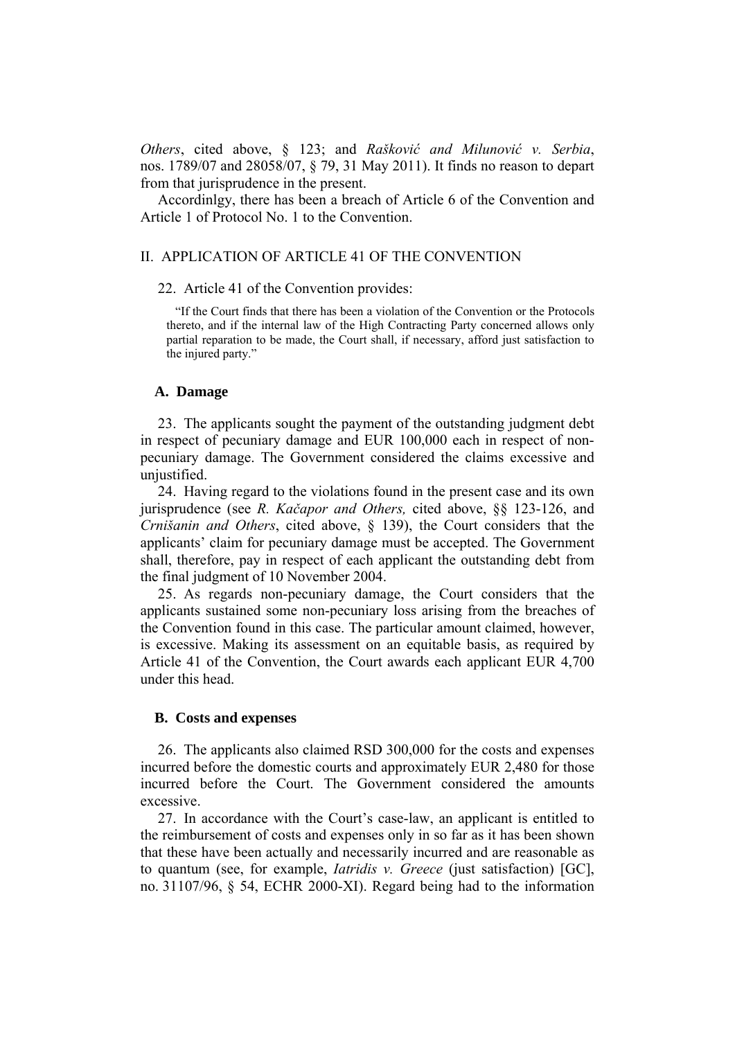*Others*, cited above, § 123; and *Rašković and Milunović v. Serbia*, nos. 1789/07 and 28058/07, § 79, 31 May 2011). It finds no reason to depart from that jurisprudence in the present.

Accordinlgy, there has been a breach of Article 6 of the Convention and Article 1 of Protocol No. 1 to the Convention.

## II. APPLICATION OF ARTICLE 41 OF THE CONVENTION

### 22. Article 41 of the Convention provides:

"If the Court finds that there has been a violation of the Convention or the Protocols thereto, and if the internal law of the High Contracting Party concerned allows only partial reparation to be made, the Court shall, if necessary, afford just satisfaction to the injured party."

#### **A. Damage**

23. The applicants sought the payment of the outstanding judgment debt in respect of pecuniary damage and EUR 100,000 each in respect of nonpecuniary damage. The Government considered the claims excessive and unjustified.

24. Having regard to the violations found in the present case and its own jurisprudence (see *R. Kačapor and Others,* cited above, §§ 123-126, and *Crnišanin and Others*, cited above, § 139), the Court considers that the applicants' claim for pecuniary damage must be accepted. The Government shall, therefore, pay in respect of each applicant the outstanding debt from the final judgment of 10 November 2004.

25. As regards non-pecuniary damage, the Court considers that the applicants sustained some non-pecuniary loss arising from the breaches of the Convention found in this case. The particular amount claimed, however, is excessive. Making its assessment on an equitable basis, as required by Article 41 of the Convention, the Court awards each applicant EUR 4,700 under this head.

#### **B. Costs and expenses**

26. The applicants also claimed RSD 300,000 for the costs and expenses incurred before the domestic courts and approximately EUR 2,480 for those incurred before the Court. The Government considered the amounts excessive.

27. In accordance with the Court's case-law, an applicant is entitled to the reimbursement of costs and expenses only in so far as it has been shown that these have been actually and necessarily incurred and are reasonable as to quantum (see, for example, *Iatridis v. Greece* (just satisfaction) [GC], no. 31107/96, § 54, ECHR 2000-XI). Regard being had to the information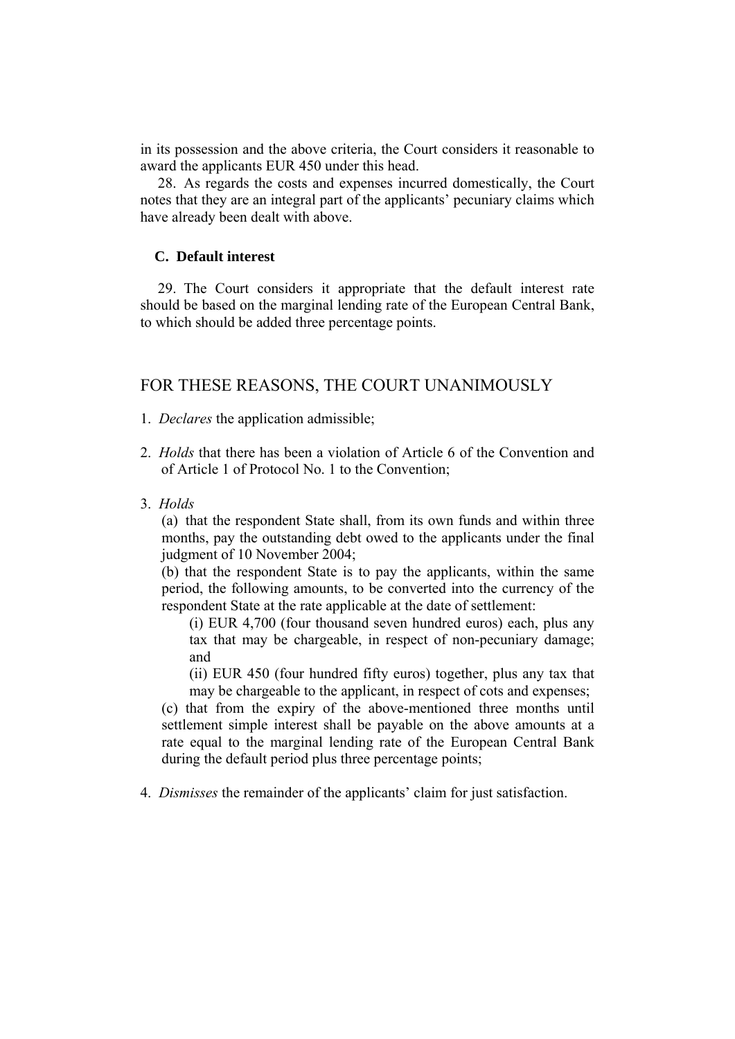in its possession and the above criteria, the Court considers it reasonable to award the applicants EUR 450 under this head.

28. As regards the costs and expenses incurred domestically, the Court notes that they are an integral part of the applicants' pecuniary claims which have already been dealt with above.

### **C. Default interest**

29. The Court considers it appropriate that the default interest rate should be based on the marginal lending rate of the European Central Bank, to which should be added three percentage points.

# FOR THESE REASONS, THE COURT UNANIMOUSLY

- 1. *Declares* the application admissible;
- 2. *Holds* that there has been a violation of Article 6 of the Convention and of Article 1 of Protocol No. 1 to the Convention;
- 3. *Holds*

(a) that the respondent State shall, from its own funds and within three months, pay the outstanding debt owed to the applicants under the final judgment of 10 November 2004;

(b) that the respondent State is to pay the applicants, within the same period, the following amounts, to be converted into the currency of the respondent State at the rate applicable at the date of settlement:

(i) EUR 4,700 (four thousand seven hundred euros) each, plus any tax that may be chargeable, in respect of non-pecuniary damage; and

(ii) EUR 450 (four hundred fifty euros) together, plus any tax that may be chargeable to the applicant, in respect of cots and expenses;

(c) that from the expiry of the above-mentioned three months until settlement simple interest shall be payable on the above amounts at a rate equal to the marginal lending rate of the European Central Bank during the default period plus three percentage points;

4. *Dismisses* the remainder of the applicants' claim for just satisfaction.